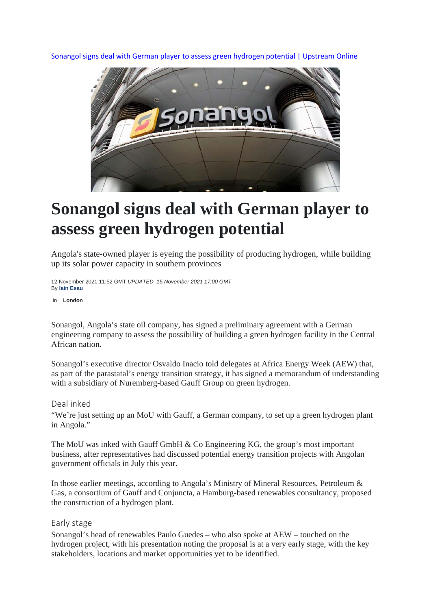Sonangol signs deal with German player to assess green hydrogen potential | Upstream Online



# **Sonangol signs deal with German player to assess green hydrogen potential**

Angola's state-owned player is eyeing the possibility of producing hydrogen, while building up its solar power capacity in southern provinces

12 November 2021 11:52 GMT *UPDATED 15 November 2021 17:00 GMT* By **Iain Esau** 

in **London** 

Sonangol, Angola's state oil company, has signed a preliminary agreement with a German engineering company to assess the possibility of building a green hydrogen facility in the Central African nation.

Sonangol's executive director Osvaldo Inacio told delegates at Africa Energy Week (AEW) that, as part of the parastatal's energy transition strategy, it has signed a memorandum of understanding with a subsidiary of Nuremberg-based Gauff Group on green hydrogen.

Deal inked

"We're just setting up an MoU with Gauff, a German company, to set up a green hydrogen plant in Angola."

The MoU was inked with Gauff GmbH & Co Engineering KG, the group's most important business, after representatives had discussed potential energy transition projects with Angolan government officials in July this year.

In those earlier meetings, according to Angola's Ministry of Mineral Resources, Petroleum & Gas, a consortium of Gauff and Conjuncta, a Hamburg-based renewables consultancy, proposed the construction of a hydrogen plant.

# Early stage

Sonangol's head of renewables Paulo Guedes – who also spoke at AEW – touched on the hydrogen project, with his presentation noting the proposal is at a very early stage, with the key stakeholders, locations and market opportunities yet to be identified.